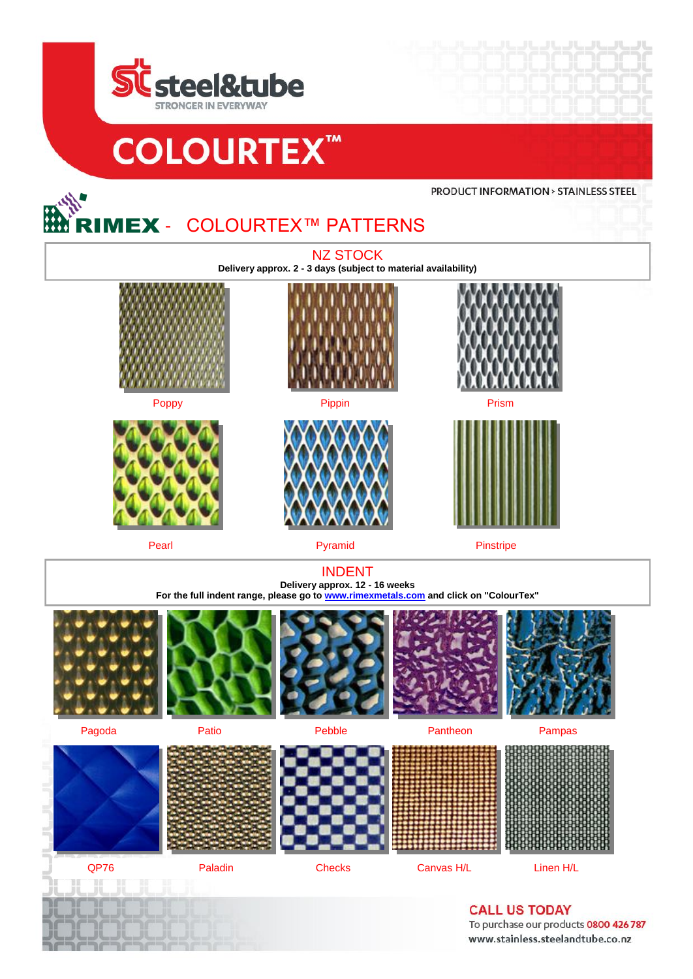